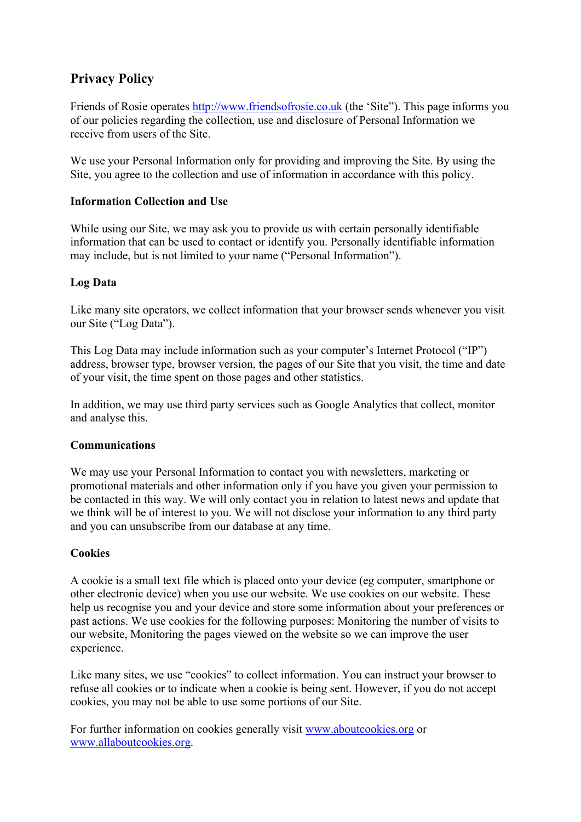# **Privacy Policy**

Friends of Rosie operates [http://www.friendsofrosie.co.uk](http://www.friendsofrosie.co.uk/) (the 'Site"). This page informs you of our policies regarding the collection, use and disclosure of Personal Information we receive from users of the Site.

We use your Personal Information only for providing and improving the Site. By using the Site, you agree to the collection and use of information in accordance with this policy.

## **Information Collection and Use**

While using our Site, we may ask you to provide us with certain personally identifiable information that can be used to contact or identify you. Personally identifiable information may include, but is not limited to your name ("Personal Information").

## **Log Data**

Like many site operators, we collect information that your browser sends whenever you visit our Site ("Log Data").

This Log Data may include information such as your computer's Internet Protocol ("IP") address, browser type, browser version, the pages of our Site that you visit, the time and date of your visit, the time spent on those pages and other statistics.

In addition, we may use third party services such as Google Analytics that collect, monitor and analyse this.

#### **Communications**

We may use your Personal Information to contact you with newsletters, marketing or promotional materials and other information only if you have you given your permission to be contacted in this way. We will only contact you in relation to latest news and update that we think will be of interest to you. We will not disclose your information to any third party and you can unsubscribe from our database at any time.

#### **Cookies**

A cookie is a small text file which is placed onto your device (eg computer, smartphone or other electronic device) when you use our website. We use cookies on our website. These help us recognise you and your device and store some information about your preferences or past actions. We use cookies for the following purposes: Monitoring the number of visits to our website, Monitoring the pages viewed on the website so we can improve the user experience.

Like many sites, we use "cookies" to collect information. You can instruct your browser to refuse all cookies or to indicate when a cookie is being sent. However, if you do not accept cookies, you may not be able to use some portions of our Site.

For further information on cookies generally visit [www.aboutcookies.org](http://www.aboutcookies.org/) or [www.allaboutcookies.org.](http://www.allaboutcookies.org/)